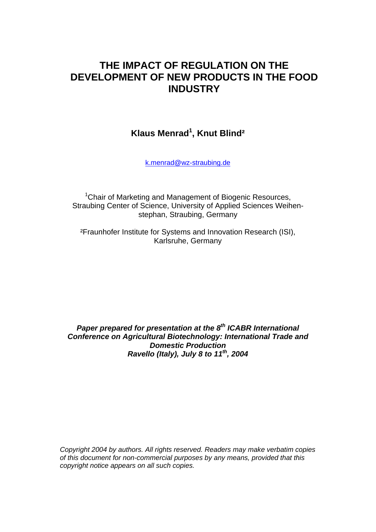# **THE IMPACT OF REGULATION ON THE DEVELOPMENT OF NEW PRODUCTS IN THE FOOD INDUSTRY**

**Klaus Menrad1 , Knut Blind²** 

k.menrad@wz-straubing.de

<sup>1</sup>Chair of Marketing and Management of Biogenic Resources, Straubing Center of Science, University of Applied Sciences Weihenstephan, Straubing, Germany

²Fraunhofer Institute for Systems and Innovation Research (ISI), Karlsruhe, Germany

**Paper prepared for presentation at the 8<sup>th</sup> ICABR International** *Conference on Agricultural Biotechnology: International Trade and Domestic Production Ravello (Italy), July 8 to 11<sup>th</sup>, 2004* 

*Copyright 2004 by authors. All rights reserved. Readers may make verbatim copies of this document for non-commercial purposes by any means, provided that this copyright notice appears on all such copies.*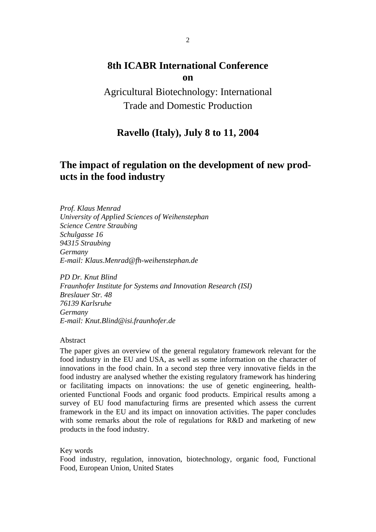## **8th ICABR International Conference on**

Agricultural Biotechnology: International Trade and Domestic Production

## **Ravello (Italy), July 8 to 11, 2004**

## **The impact of regulation on the development of new products in the food industry**

*Prof. Klaus Menrad University of Applied Sciences of Weihenstephan Science Centre Straubing Schulgasse 16 94315 Straubing Germany E-mail: Klaus.Menrad@fh-weihenstephan.de* 

*PD Dr. Knut Blind Fraunhofer Institute for Systems and Innovation Research (ISI) Breslauer Str. 48 76139 Karlsruhe Germany E-mail: Knut.Blind@isi.fraunhofer.de* 

Abstract

The paper gives an overview of the general regulatory framework relevant for the food industry in the EU and USA, as well as some information on the character of innovations in the food chain. In a second step three very innovative fields in the food industry are analysed whether the existing regulatory framework has hindering or facilitating impacts on innovations: the use of genetic engineering, healthoriented Functional Foods and organic food products. Empirical results among a survey of EU food manufacturing firms are presented which assess the current framework in the EU and its impact on innovation activities. The paper concludes with some remarks about the role of regulations for R&D and marketing of new products in the food industry.

Key words

Food industry, regulation, innovation, biotechnology, organic food, Functional Food, European Union, United States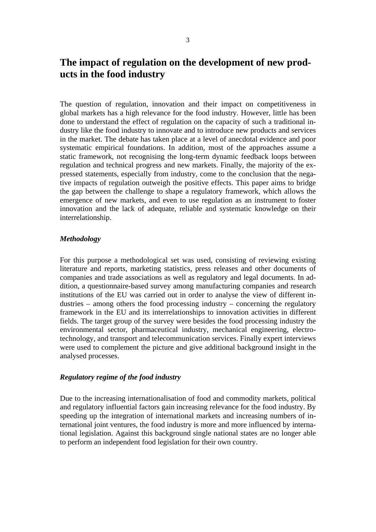## **The impact of regulation on the development of new products in the food industry**

The question of regulation, innovation and their impact on competitiveness in global markets has a high relevance for the food industry. However, little has been done to understand the effect of regulation on the capacity of such a traditional industry like the food industry to innovate and to introduce new products and services in the market. The debate has taken place at a level of anecdotal evidence and poor systematic empirical foundations. In addition, most of the approaches assume a static framework, not recognising the long-term dynamic feedback loops between regulation and technical progress and new markets. Finally, the majority of the expressed statements, especially from industry, come to the conclusion that the negative impacts of regulation outweigh the positive effects. This paper aims to bridge the gap between the challenge to shape a regulatory framework, which allows the emergence of new markets, and even to use regulation as an instrument to foster innovation and the lack of adequate, reliable and systematic knowledge on their interrelationship.

### *Methodology*

For this purpose a methodological set was used, consisting of reviewing existing literature and reports, marketing statistics, press releases and other documents of companies and trade associations as well as regulatory and legal documents. In addition, a questionnaire-based survey among manufacturing companies and research institutions of the EU was carried out in order to analyse the view of different industries – among others the food processing industry – concerning the regulatory framework in the EU and its interrelationships to innovation activities in different fields. The target group of the survey were besides the food processing industry the environmental sector, pharmaceutical industry, mechanical engineering, electrotechnology, and transport and telecommunication services. Finally expert interviews were used to complement the picture and give additional background insight in the analysed processes.

#### *Regulatory regime of the food industry*

Due to the increasing internationalisation of food and commodity markets, political and regulatory influential factors gain increasing relevance for the food industry. By speeding up the integration of international markets and increasing numbers of international joint ventures, the food industry is more and more influenced by international legislation. Against this background single national states are no longer able to perform an independent food legislation for their own country.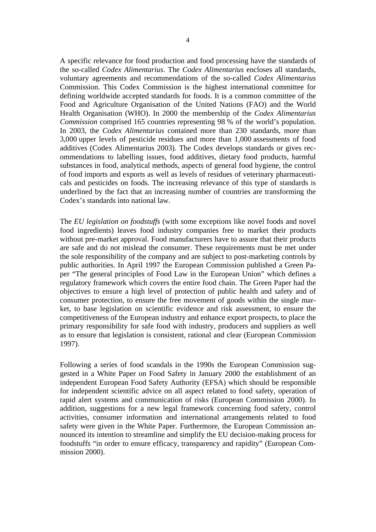A specific relevance for food production and food processing have the standards of the so-called *Codex Alimentarius*. The *Codex Alimentarius* encloses all standards, voluntary agreements and recommendations of the so-called *Codex Alimentarius* Commission. This Codex Commission is the highest international committee for defining worldwide accepted standards for foods. It is a common committee of the Food and Agriculture Organisation of the United Nations (FAO) and the World Health Organisation (WHO). In 2000 the membership of the *Codex Alimentarius Commission* comprised 165 countries representing 98 % of the world's population. In 2003, the *Codex Alimentarius* contained more than 230 standards, more than 3,000 upper levels of pesticide residues and more than 1,000 assessments of food additives (Codex Alimentarius 2003). The Codex develops standards or gives recommendations to labelling issues, food additives, dietary food products, harmful substances in food, analytical methods, aspects of general food hygiene, the control of food imports and exports as well as levels of residues of veterinary pharmaceuticals and pesticides on foods. The increasing relevance of this type of standards is underlined by the fact that an increasing number of countries are transforming the Codex's standards into national law.

The *EU legislation on foodstuffs* (with some exceptions like novel foods and novel food ingredients) leaves food industry companies free to market their products without pre-market approval. Food manufacturers have to assure that their products are safe and do not mislead the consumer. These requirements must be met under the sole responsibility of the company and are subject to post-marketing controls by public authorities. In April 1997 the European Commission published a Green Paper "The general principles of Food Law in the European Union" which defines a regulatory framework which covers the entire food chain. The Green Paper had the objectives to ensure a high level of protection of public health and safety and of consumer protection, to ensure the free movement of goods within the single market, to base legislation on scientific evidence and risk assessment, to ensure the competitiveness of the European industry and enhance export prospects, to place the primary responsibility for safe food with industry, producers and suppliers as well as to ensure that legislation is consistent, rational and clear (European Commission 1997).

Following a series of food scandals in the 1990s the European Commission suggested in a White Paper on Food Safety in January 2000 the establishment of an independent European Food Safety Authority (EFSA) which should be responsible for independent scientific advice on all aspect related to food safety, operation of rapid alert systems and communication of risks (European Commission 2000). In addition, suggestions for a new legal framework concerning food safety, control activities, consumer information and international arrangements related to food safety were given in the White Paper. Furthermore, the European Commission announced its intention to streamline and simplify the EU decision-making process for foodstuffs "in order to ensure efficacy, transparency and rapidity" (European Commission 2000).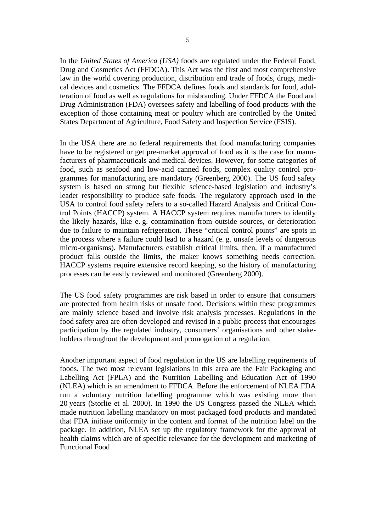In the *United States of America (USA)* foods are regulated under the Federal Food, Drug and Cosmetics Act (FFDCA). This Act was the first and most comprehensive law in the world covering production, distribution and trade of foods, drugs, medical devices and cosmetics. The FFDCA defines foods and standards for food, adulteration of food as well as regulations for misbranding. Under FFDCA the Food and Drug Administration (FDA) oversees safety and labelling of food products with the exception of those containing meat or poultry which are controlled by the United States Department of Agriculture, Food Safety and Inspection Service (FSIS).

In the USA there are no federal requirements that food manufacturing companies have to be registered or get pre-market approval of food as it is the case for manufacturers of pharmaceuticals and medical devices. However, for some categories of food, such as seafood and low-acid canned foods, complex quality control programmes for manufacturing are mandatory (Greenberg 2000). The US food safety system is based on strong but flexible science-based legislation and industry's leader responsibility to produce safe foods. The regulatory approach used in the USA to control food safety refers to a so-called Hazard Analysis and Critical Control Points (HACCP) system. A HACCP system requires manufacturers to identify the likely hazards, like e. g. contamination from outside sources, or deterioration due to failure to maintain refrigeration. These "critical control points" are spots in the process where a failure could lead to a hazard (e. g. unsafe levels of dangerous micro-organisms). Manufacturers establish critical limits, then, if a manufactured product falls outside the limits, the maker knows something needs correction. HACCP systems require extensive record keeping, so the history of manufacturing processes can be easily reviewed and monitored (Greenberg 2000).

The US food safety programmes are risk based in order to ensure that consumers are protected from health risks of unsafe food. Decisions within these programmes are mainly science based and involve risk analysis processes. Regulations in the food safety area are often developed and revised in a public process that encourages participation by the regulated industry, consumers' organisations and other stakeholders throughout the development and promogation of a regulation.

Another important aspect of food regulation in the US are labelling requirements of foods. The two most relevant legislations in this area are the Fair Packaging and Labelling Act (FPLA) and the Nutrition Labelling and Education Act of 1990 (NLEA) which is an amendment to FFDCA. Before the enforcement of NLEA FDA run a voluntary nutrition labelling programme which was existing more than 20 years (Storlie et al. 2000). In 1990 the US Congress passed the NLEA which made nutrition labelling mandatory on most packaged food products and mandated that FDA initiate uniformity in the content and format of the nutrition label on the package. In addition, NLEA set up the regulatory framework for the approval of health claims which are of specific relevance for the development and marketing of Functional Food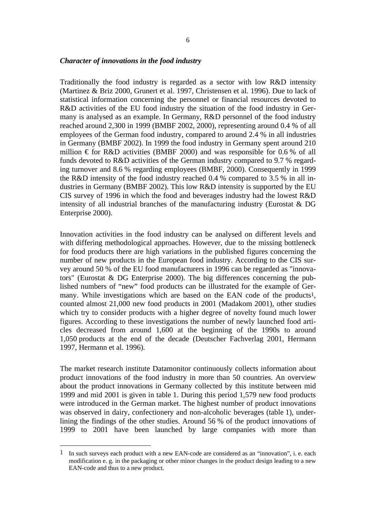#### *Character of innovations in the food industry*

Traditionally the food industry is regarded as a sector with low R&D intensity (Martinez & Briz 2000, Grunert et al. 1997, Christensen et al. 1996). Due to lack of statistical information concerning the personnel or financial resources devoted to R&D activities of the EU food industry the situation of the food industry in Germany is analysed as an example. In Germany, R&D personnel of the food industry reached around 2,300 in 1999 (BMBF 2002, 2000), representing around 0.4 % of all employees of the German food industry, compared to around 2.4 % in all industries in Germany (BMBF 2002). In 1999 the food industry in Germany spent around 210 million  $\epsilon$  for R&D activities (BMBF 2000) and was responsible for 0.6 % of all funds devoted to R&D activities of the German industry compared to 9.7 % regarding turnover and 8.6 % regarding employees (BMBF, 2000). Consequently in 1999 the R&D intensity of the food industry reached 0.4 % compared to 3.5 % in all industries in Germany (BMBF 2002). This low R&D intensity is supported by the EU CIS survey of 1996 in which the food and beverages industry had the lowest R&D intensity of all industrial branches of the manufacturing industry (Eurostat  $& DG$ Enterprise 2000).

Innovation activities in the food industry can be analysed on different levels and with differing methodological approaches. However, due to the missing bottleneck for food products there are high variations in the published figures concerning the number of new products in the European food industry. According to the CIS survey around 50 % of the EU food manufacturers in 1996 can be regarded as "innovators" (Eurostat & DG Enterprise 2000). The big differences concerning the published numbers of "new" food products can be illustrated for the example of Germany. While investigations which are based on the EAN code of the products<sup>1</sup>, counted almost 21,000 new food products in 2001 (Madakom 2001), other studies which try to consider products with a higher degree of novelty found much lower figures. According to these investigations the number of newly launched food articles decreased from around 1,600 at the beginning of the 1990s to around 1,050 products at the end of the decade (Deutscher Fachverlag 2001, Hermann 1997, Hermann et al. 1996).

The market research institute Datamonitor continuously collects information about product innovations of the food industry in more than 50 countries. An overview about the product innovations in Germany collected by this institute between mid 1999 and mid 2001 is given in table 1. During this period 1,579 new food products were introduced in the German market. The highest number of product innovations was observed in dairy, confectionery and non-alcoholic beverages (table 1), underlining the findings of the other studies. Around 56 % of the product innovations of 1999 to 2001 have been launched by large companies with more than

-

<sup>1</sup> In such surveys each product with a new EAN-code are considered as an "innovation", i. e. each modification e. g. in the packaging or other minor changes in the product design leading to a new EAN-code and thus to a new product.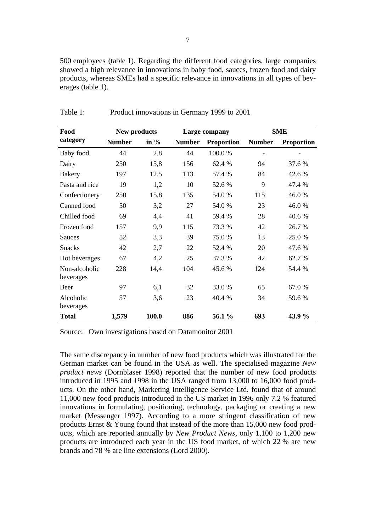500 employees (table 1). Regarding the different food categories, large companies showed a high relevance in innovations in baby food, sauces, frozen food and dairy products, whereas SMEs had a specific relevance in innovations in all types of beverages (table 1).

| Food                       | New products  |         | Large company |                   | <b>SME</b>    |                   |  |
|----------------------------|---------------|---------|---------------|-------------------|---------------|-------------------|--|
| category                   | <b>Number</b> | in $\%$ | <b>Number</b> | <b>Proportion</b> | <b>Number</b> | <b>Proportion</b> |  |
| Baby food                  | 44            | 2.8     | 44            | 100.0%            |               |                   |  |
| Dairy                      | 250           | 15,8    | 156           | 62.4 %            | 94            | 37.6 %            |  |
| <b>Bakery</b>              | 197           | 12.5    | 113           | 57.4 %            | 84            | 42.6 %            |  |
| Pasta and rice             | 19            | 1,2     | 10            | 52.6 %            | 9             | 47.4 %            |  |
| Confectionery              | 250           | 15,8    | 135           | 54.0%             | 115           | 46.0%             |  |
| Canned food                | 50            | 3,2     | 27            | 54.0%             | 23            | 46.0%             |  |
| Chilled food               | 69            | 4,4     | 41            | 59.4 %            | 28            | 40.6 %            |  |
| Frozen food                | 157           | 9,9     | 115           | 73.3 %            | 42            | 26.7 %            |  |
| Sauces                     | 52            | 3,3     | 39            | 75.0%             | 13            | 25.0%             |  |
| <b>Snacks</b>              | 42            | 2,7     | 22            | 52.4 %            | 20            | 47.6 %            |  |
| Hot beverages              | 67            | 4,2     | 25            | 37.3 %            | 42            | 62.7 %            |  |
| Non-alcoholic<br>beverages | 228           | 14,4    | 104           | 45.6 %            | 124           | 54.4 %            |  |
| Beer                       | 97            | 6,1     | 32            | 33.0%             | 65            | 67.0%             |  |
| Alcoholic<br>beverages     | 57            | 3,6     | 23            | 40.4 %            | 34            | 59.6%             |  |
| <b>Total</b>               | 1,579         | 100.0   | 886           | 56.1 %            | 693           | 43.9 %            |  |

Table 1: Product innovations in Germany 1999 to 2001

Source: Own investigations based on Datamonitor 2001

The same discrepancy in number of new food products which was illustrated for the German market can be found in the USA as well. The specialised magazine *New product news* (Dornblaser 1998) reported that the number of new food products introduced in 1995 and 1998 in the USA ranged from 13,000 to 16,000 food products. On the other hand, Marketing Intelligence Service Ltd. found that of around 11,000 new food products introduced in the US market in 1996 only 7.2 % featured innovations in formulating, positioning, technology, packaging or creating a new market (Messenger 1997). According to a more stringent classification of new products Ernst & Young found that instead of the more than 15,000 new food products, which are reported annually by *New Product News*, only 1,100 to 1,200 new products are introduced each year in the US food market, of which 22 % are new brands and 78 % are line extensions (Lord 2000).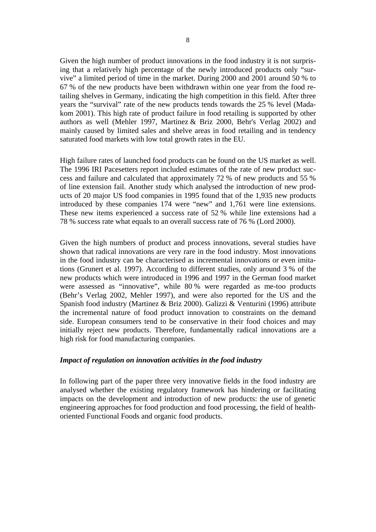Given the high number of product innovations in the food industry it is not surprising that a relatively high percentage of the newly introduced products only "survive" a limited period of time in the market. During 2000 and 2001 around 50 % to 67 % of the new products have been withdrawn within one year from the food retailing shelves in Germany, indicating the high competition in this field. After three years the "survival" rate of the new products tends towards the 25 % level (Madakom 2001). This high rate of product failure in food retailing is supported by other authors as well (Mehler 1997, Martinez & Briz 2000, Behr's Verlag 2002) and mainly caused by limited sales and shelve areas in food retailing and in tendency saturated food markets with low total growth rates in the EU.

High failure rates of launched food products can be found on the US market as well. The 1996 IRI Pacesetters report included estimates of the rate of new product success and failure and calculated that approximately 72 % of new products and 55 % of line extension fail. Another study which analysed the introduction of new products of 20 major US food companies in 1995 found that of the 1,935 new products introduced by these companies 174 were "new" and 1,761 were line extensions. These new items experienced a success rate of 52 % while line extensions had a 78 % success rate what equals to an overall success rate of 76 % (Lord 2000).

Given the high numbers of product and process innovations, several studies have shown that radical innovations are very rare in the food industry. Most innovations in the food industry can be characterised as incremental innovations or even imitations (Grunert et al. 1997). According to different studies, only around 3 % of the new products which were introduced in 1996 and 1997 in the German food market were assessed as "innovative", while 80 % were regarded as me-too products (Behr's Verlag 2002, Mehler 1997), and were also reported for the US and the Spanish food industry (Martinez & Briz 2000). Galizzi & Venturini (1996) attribute the incremental nature of food product innovation to constraints on the demand side. European consumers tend to be conservative in their food choices and may initially reject new products. Therefore, fundamentally radical innovations are a high risk for food manufacturing companies.

#### *Impact of regulation on innovation activities in the food industry*

In following part of the paper three very innovative fields in the food industry are analysed whether the existing regulatory framework has hindering or facilitating impacts on the development and introduction of new products: the use of genetic engineering approaches for food production and food processing, the field of healthoriented Functional Foods and organic food products.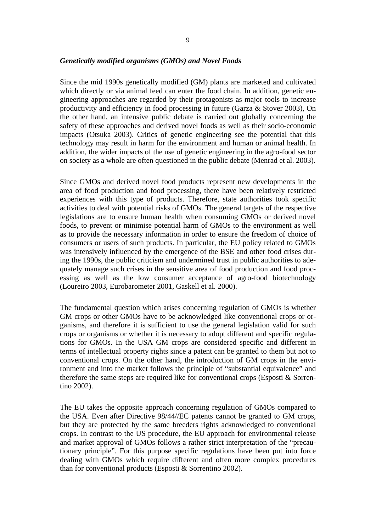#### *Genetically modified organisms (GMOs) and Novel Foods*

Since the mid 1990s genetically modified (GM) plants are marketed and cultivated which directly or via animal feed can enter the food chain. In addition, genetic engineering approaches are regarded by their protagonists as major tools to increase productivity and efficiency in food processing in future (Garza & Stover 2003), On the other hand, an intensive public debate is carried out globally concerning the safety of these approaches and derived novel foods as well as their socio-economic impacts (Otsuka 2003). Critics of genetic engineering see the potential that this technology may result in harm for the environment and human or animal health. In addition, the wider impacts of the use of genetic engineering in the agro-food sector on society as a whole are often questioned in the public debate (Menrad et al. 2003).

Since GMOs and derived novel food products represent new developments in the area of food production and food processing, there have been relatively restricted experiences with this type of products. Therefore, state authorities took specific activities to deal with potential risks of GMOs. The general targets of the respective legislations are to ensure human health when consuming GMOs or derived novel foods, to prevent or minimise potential harm of GMOs to the environment as well as to provide the necessary information in order to ensure the freedom of choice of consumers or users of such products. In particular, the EU policy related to GMOs was intensively influenced by the emergence of the BSE and other food crises during the 1990s, the public criticism and undermined trust in public authorities to adequately manage such crises in the sensitive area of food production and food processing as well as the low consumer acceptance of agro-food biotechnology (Loureiro 2003, Eurobarometer 2001, Gaskell et al. 2000).

The fundamental question which arises concerning regulation of GMOs is whether GM crops or other GMOs have to be acknowledged like conventional crops or organisms, and therefore it is sufficient to use the general legislation valid for such crops or organisms or whether it is necessary to adopt different and specific regulations for GMOs. In the USA GM crops are considered specific and different in terms of intellectual property rights since a patent can be granted to them but not to conventional crops. On the other hand, the introduction of GM crops in the environment and into the market follows the principle of "substantial equivalence" and therefore the same steps are required like for conventional crops (Esposti & Sorrentino 2002).

The EU takes the opposite approach concerning regulation of GMOs compared to the USA. Even after Directive 98/44//EC patents cannot be granted to GM crops, but they are protected by the same breeders rights acknowledged to conventional crops. In contrast to the US procedure, the EU approach for environmental release and market approval of GMOs follows a rather strict interpretation of the "precautionary principle". For this purpose specific regulations have been put into force dealing with GMOs which require different and often more complex procedures than for conventional products (Esposti & Sorrentino 2002).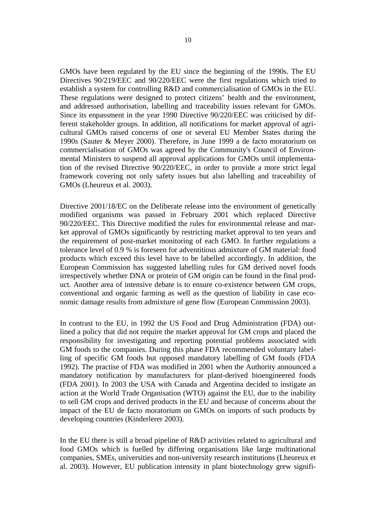GMOs have been regulated by the EU since the beginning of the 1990s. The EU Directives 90/219/EEC and 90/220/EEC were the first regulations which tried to establish a system for controlling R&D and commercialisation of GMOs in the EU. These regulations were designed to protect citizens' health and the environment, and addressed authorisation, labelling and traceability issues relevant for GMOs. Since its enpassment in the year 1990 Directive 90/220/EEC was criticised by different stakeholder groups. In addition, all notifications for market approval of agricultural GMOs raised concerns of one or several EU Member States during the 1990s (Sauter & Meyer 2000). Therefore, in June 1999 a de facto moratorium on commercialisation of GMOs was agreed by the Community's Council of Environmental Ministers to suspend all approval applications for GMOs until implementation of the revised Directive 90/220/EEC, in order to provide a more strict legal framework covering not only safety issues but also labelling and traceability of GMOs (Lheureux et al. 2003).

Directive 2001/18/EC on the Deliberate release into the environment of genetically modified organisms was passed in February 2001 which replaced Directive 90/220/EEC. This Directive modified the rules for environmental release and market approval of GMOs significantly by restricting market approval to ten years and the requirement of post-market monitoring of each GMO. In further regulations a tolerance level of 0.9 % is foreseen for adventitious admixture of GM material: food products which exceed this level have to be labelled accordingly. In addition, the European Commission has suggested labelling rules for GM derived novel foods irrespectively whether DNA or protein of GM origin can be found in the final product. Another area of intensive debate is to ensure co-existence between GM crops, conventional and organic farming as well as the question of liability in case economic damage results from admixture of gene flow (European Commission 2003).

In contrast to the EU, in 1992 the US Food and Drug Administration (FDA) outlined a policy that did not require the market approval for GM crops and placed the responsibility for investigating and reporting potential problems associated with GM foods to the companies. During this phase FDA recommended voluntary labelling of specific GM foods but opposed mandatory labelling of GM foods (FDA 1992). The practise of FDA was modified in 2001 when the Authority announced a mandatory notification by manufacturers for plant-derived bioengineered foods (FDA 2001). In 2003 the USA with Canada and Argentina decided to instigate an action at the World Trade Organisation (WTO) against the EU, due to the inability to sell GM crops and derived products in the EU and because of concerns about the impact of the EU de facto moratorium on GMOs on imports of such products by developing countries (Kinderlerer 2003).

In the EU there is still a broad pipeline of R&D activities related to agricultural and food GMOs which is fuelled by differing organisations like large multinational companies, SMEs, universities and non-university research institutions (Lheureux et al. 2003). However, EU publication intensity in plant biotechnology grew signifi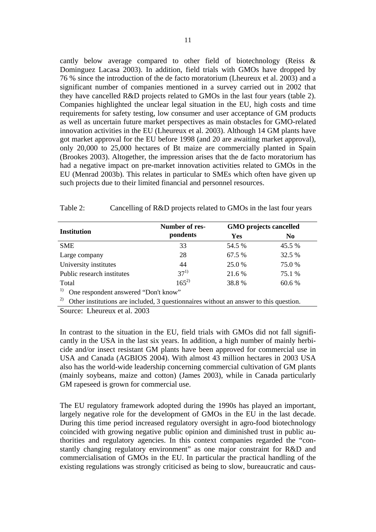cantly below average compared to other field of biotechnology (Reiss & Dominguez Lacasa 2003). In addition, field trials with GMOs have dropped by 76 % since the introduction of the de facto moratorium (Lheureux et al. 2003) and a significant number of companies mentioned in a survey carried out in 2002 that they have cancelled R&D projects related to GMOs in the last four years (table 2). Companies highlighted the unclear legal situation in the EU, high costs and time requirements for safety testing, low consumer and user acceptance of GM products as well as uncertain future market perspectives as main obstacles for GMO-related innovation activities in the EU (Lheureux et al. 2003). Although 14 GM plants have got market approval for the EU before 1998 (and 20 are awaiting market approval), only 20,000 to 25,000 hectares of Bt maize are commercially planted in Spain (Brookes 2003). Altogether, the impression arises that the de facto moratorium has had a negative impact on pre-market innovation activities related to GMOs in the EU (Menrad 2003b). This relates in particular to SMEs which often have given up such projects due to their limited financial and personnel resources.

| Cancelling of R&D projects related to GMOs in the last four years |
|-------------------------------------------------------------------|
|                                                                   |

|                                                                                             | Number of res- | <b>GMO</b> projects cancelled |                |  |  |  |
|---------------------------------------------------------------------------------------------|----------------|-------------------------------|----------------|--|--|--|
| <b>Institution</b>                                                                          | pondents       | <b>Yes</b>                    | N <sub>0</sub> |  |  |  |
| <b>SME</b>                                                                                  | 33             | 54.5 %                        | 45.5 %         |  |  |  |
| Large company                                                                               | 28             | 67.5 %                        | 32.5 %         |  |  |  |
| University institutes                                                                       | 44             | 25.0 %                        | 75.0 %         |  |  |  |
| Public research institutes                                                                  | $37^{1}$       | 21.6 %                        | 75.1 %         |  |  |  |
| Total                                                                                       | $165^{2}$      | 38.8 %                        | 60.6 %         |  |  |  |
| 1)<br>One respondent answered "Don't know"                                                  |                |                               |                |  |  |  |
| 2)<br>Other institutions are included, 3 questionnaires without an answer to this question. |                |                               |                |  |  |  |

Source: Lheureux et al. 2003

In contrast to the situation in the EU, field trials with GMOs did not fall significantly in the USA in the last six years. In addition, a high number of mainly herbicide and/or insect resistant GM plants have been approved for commercial use in USA and Canada (AGBIOS 2004). With almost 43 million hectares in 2003 USA also has the world-wide leadership concerning commercial cultivation of GM plants (mainly soybeans, maize and cotton) (James 2003), while in Canada particularly GM rapeseed is grown for commercial use.

The EU regulatory framework adopted during the 1990s has played an important, largely negative role for the development of GMOs in the EU in the last decade. During this time period increased regulatory oversight in agro-food biotechnology coincided with growing negative public opinion and diminished trust in public authorities and regulatory agencies. In this context companies regarded the "constantly changing regulatory environment" as one major constraint for R&D and commercialisation of GMOs in the EU. In particular the practical handling of the existing regulations was strongly criticised as being to slow, bureaucratic and caus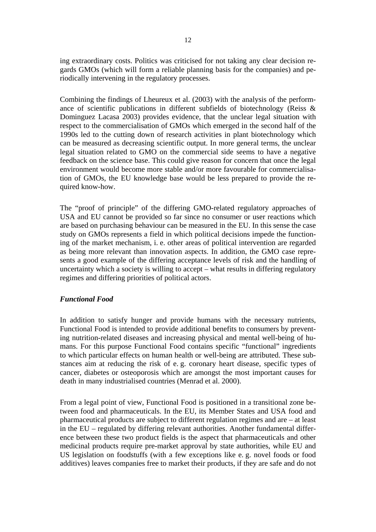ing extraordinary costs. Politics was criticised for not taking any clear decision regards GMOs (which will form a reliable planning basis for the companies) and periodically intervening in the regulatory processes.

Combining the findings of Lheureux et al. (2003) with the analysis of the performance of scientific publications in different subfields of biotechnology (Reiss & Dominguez Lacasa 2003) provides evidence, that the unclear legal situation with respect to the commercialisation of GMOs which emerged in the second half of the 1990s led to the cutting down of research activities in plant biotechnology which can be measured as decreasing scientific output. In more general terms, the unclear legal situation related to GMO on the commercial side seems to have a negative feedback on the science base. This could give reason for concern that once the legal environment would become more stable and/or more favourable for commercialisation of GMOs, the EU knowledge base would be less prepared to provide the required know-how.

The "proof of principle" of the differing GMO-related regulatory approaches of USA and EU cannot be provided so far since no consumer or user reactions which are based on purchasing behaviour can be measured in the EU. In this sense the case study on GMOs represents a field in which political decisions impede the functioning of the market mechanism, i. e. other areas of political intervention are regarded as being more relevant than innovation aspects. In addition, the GMO case represents a good example of the differing acceptance levels of risk and the handling of uncertainty which a society is willing to accept – what results in differing regulatory regimes and differing priorities of political actors.

### *Functional Food*

In addition to satisfy hunger and provide humans with the necessary nutrients, Functional Food is intended to provide additional benefits to consumers by preventing nutrition-related diseases and increasing physical and mental well-being of humans. For this purpose Functional Food contains specific "functional" ingredients to which particular effects on human health or well-being are attributed. These substances aim at reducing the risk of e. g. coronary heart disease, specific types of cancer, diabetes or osteoporosis which are amongst the most important causes for death in many industrialised countries (Menrad et al. 2000).

From a legal point of view, Functional Food is positioned in a transitional zone between food and pharmaceuticals. In the EU, its Member States and USA food and pharmaceutical products are subject to different regulation regimes and are – at least in the EU – regulated by differing relevant authorities. Another fundamental difference between these two product fields is the aspect that pharmaceuticals and other medicinal products require pre-market approval by state authorities, while EU and US legislation on foodstuffs (with a few exceptions like e. g. novel foods or food additives) leaves companies free to market their products, if they are safe and do not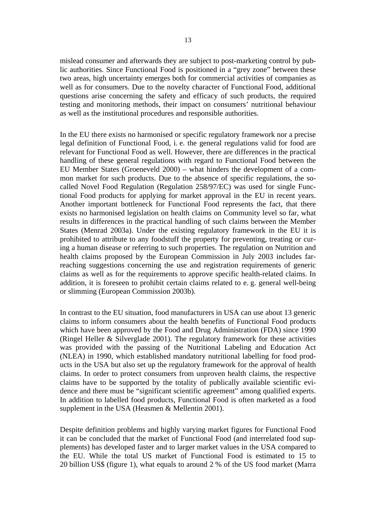mislead consumer and afterwards they are subject to post-marketing control by public authorities. Since Functional Food is positioned in a "grey zone" between these two areas, high uncertainty emerges both for commercial activities of companies as well as for consumers. Due to the novelty character of Functional Food, additional questions arise concerning the safety and efficacy of such products, the required testing and monitoring methods, their impact on consumers' nutritional behaviour as well as the institutional procedures and responsible authorities.

In the EU there exists no harmonised or specific regulatory framework nor a precise legal definition of Functional Food, i. e. the general regulations valid for food are relevant for Functional Food as well. However, there are differences in the practical handling of these general regulations with regard to Functional Food between the EU Member States (Groeneveld 2000) – what hinders the development of a common market for such products. Due to the absence of specific regulations, the socalled Novel Food Regulation (Regulation 258/97/EC) was used for single Functional Food products for applying for market approval in the EU in recent years. Another important bottleneck for Functional Food represents the fact, that there exists no harmonised legislation on health claims on Community level so far, what results in differences in the practical handling of such claims between the Member States (Menrad 2003a). Under the existing regulatory framework in the EU it is prohibited to attribute to any foodstuff the property for preventing, treating or curing a human disease or referring to such properties. The regulation on Nutrition and health claims proposed by the European Commission in July 2003 includes farreaching suggestions concerning the use and registration requirements of generic claims as well as for the requirements to approve specific health-related claims. In addition, it is foreseen to prohibit certain claims related to e. g. general well-being or slimming (European Commission 2003b).

In contrast to the EU situation, food manufacturers in USA can use about 13 generic claims to inform consumers about the health benefits of Functional Food products which have been approved by the Food and Drug Administration (FDA) since 1990 (Ringel Heller & Silverglade 2001). The regulatory framework for these activities was provided with the passing of the Nutritional Labeling and Education Act (NLEA) in 1990, which established mandatory nutritional labelling for food products in the USA but also set up the regulatory framework for the approval of health claims. In order to protect consumers from unproven health claims, the respective claims have to be supported by the totality of publically available scientific evidence and there must be "significant scientific agreement" among qualified experts. In addition to labelled food products, Functional Food is often marketed as a food supplement in the USA (Heasmen & Mellentin 2001).

Despite definition problems and highly varying market figures for Functional Food it can be concluded that the market of Functional Food (and interrelated food supplements) has developed faster and to larger market values in the USA compared to the EU. While the total US market of Functional Food is estimated to 15 to 20 billion US\$ (figure 1), what equals to around 2 % of the US food market (Marra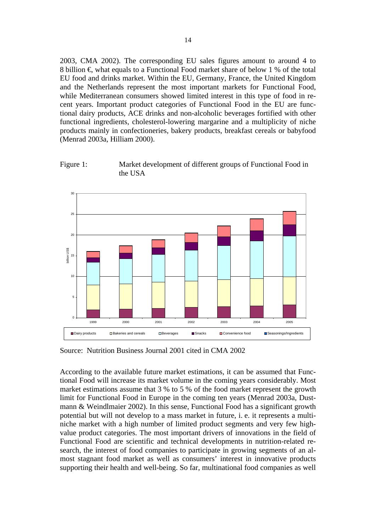2003, CMA 2002). The corresponding EU sales figures amount to around 4 to 8 billion  $\epsilon$  what equals to a Functional Food market share of below 1 % of the total EU food and drinks market. Within the EU, Germany, France, the United Kingdom and the Netherlands represent the most important markets for Functional Food, while Mediterranean consumers showed limited interest in this type of food in recent years. Important product categories of Functional Food in the EU are functional dairy products, ACE drinks and non-alcoholic beverages fortified with other functional ingredients, cholesterol-lowering margarine and a multiplicity of niche products mainly in confectioneries, bakery products, breakfast cereals or babyfood (Menrad 2003a, Hilliam 2000).





Source: Nutrition Business Journal 2001 cited in CMA 2002

According to the available future market estimations, it can be assumed that Functional Food will increase its market volume in the coming years considerably. Most market estimations assume that 3 % to 5 % of the food market represent the growth limit for Functional Food in Europe in the coming ten years (Menrad 2003a, Dustmann & Weindlmaier 2002). In this sense, Functional Food has a significant growth potential but will not develop to a mass market in future, i. e. it represents a multiniche market with a high number of limited product segments and very few highvalue product categories. The most important drivers of innovations in the field of Functional Food are scientific and technical developments in nutrition-related research, the interest of food companies to participate in growing segments of an almost stagnant food market as well as consumers' interest in innovative products supporting their health and well-being. So far, multinational food companies as well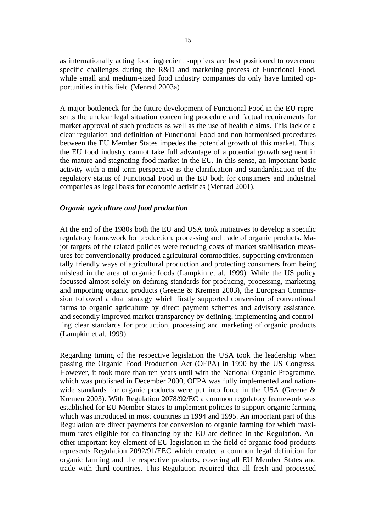as internationally acting food ingredient suppliers are best positioned to overcome specific challenges during the R&D and marketing process of Functional Food, while small and medium-sized food industry companies do only have limited opportunities in this field (Menrad 2003a)

A major bottleneck for the future development of Functional Food in the EU represents the unclear legal situation concerning procedure and factual requirements for market approval of such products as well as the use of health claims. This lack of a clear regulation and definition of Functional Food and non-harmonised procedures between the EU Member States impedes the potential growth of this market. Thus, the EU food industry cannot take full advantage of a potential growth segment in the mature and stagnating food market in the EU. In this sense, an important basic activity with a mid-term perspective is the clarification and standardisation of the regulatory status of Functional Food in the EU both for consumers and industrial companies as legal basis for economic activities (Menrad 2001).

#### *Organic agriculture and food production*

At the end of the 1980s both the EU and USA took initiatives to develop a specific regulatory framework for production, processing and trade of organic products. Major targets of the related policies were reducing costs of market stabilisation measures for conventionally produced agricultural commodities, supporting environmentally friendly ways of agricultural production and protecting consumers from being mislead in the area of organic foods (Lampkin et al. 1999). While the US policy focussed almost solely on defining standards for producing, processing, marketing and importing organic products (Greene & Kremen 2003), the European Commission followed a dual strategy which firstly supported conversion of conventional farms to organic agriculture by direct payment schemes and advisory assistance, and secondly improved market transparency by defining, implementing and controlling clear standards for production, processing and marketing of organic products (Lampkin et al. 1999).

Regarding timing of the respective legislation the USA took the leadership when passing the Organic Food Production Act (OFPA) in 1990 by the US Congress. However, it took more than ten years until with the National Organic Programme, which was published in December 2000, OFPA was fully implemented and nationwide standards for organic products were put into force in the USA (Greene & Kremen 2003). With Regulation 2078/92/EC a common regulatory framework was established for EU Member States to implement policies to support organic farming which was introduced in most countries in 1994 and 1995. An important part of this Regulation are direct payments for conversion to organic farming for which maximum rates eligible for co-financing by the EU are defined in the Regulation. Another important key element of EU legislation in the field of organic food products represents Regulation 2092/91/EEC which created a common legal definition for organic farming and the respective products, covering all EU Member States and trade with third countries. This Regulation required that all fresh and processed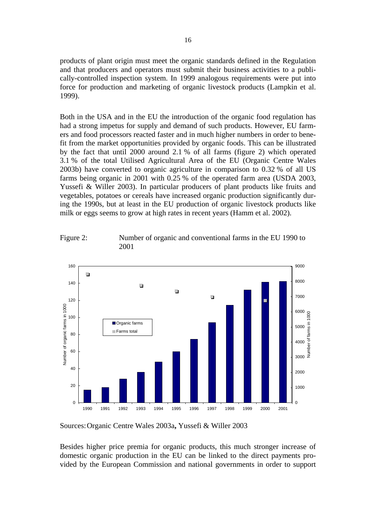products of plant origin must meet the organic standards defined in the Regulation and that producers and operators must submit their business activities to a publically-controlled inspection system. In 1999 analogous requirements were put into force for production and marketing of organic livestock products (Lampkin et al. 1999).

Both in the USA and in the EU the introduction of the organic food regulation has had a strong impetus for supply and demand of such products. However, EU farmers and food processors reacted faster and in much higher numbers in order to benefit from the market opportunities provided by organic foods. This can be illustrated by the fact that until 2000 around 2.1 % of all farms (figure 2) which operated 3.1 % of the total Utilised Agricultural Area of the EU (Organic Centre Wales 2003b) have converted to organic agriculture in comparison to 0.32 % of all US farms being organic in 2001 with 0.25 % of the operated farm area (USDA 2003, Yussefi & Willer 2003). In particular producers of plant products like fruits and vegetables, potatoes or cereals have increased organic production significantly during the 1990s, but at least in the EU production of organic livestock products like milk or eggs seems to grow at high rates in recent years (Hamm et al. 2002).

Figure 2: Number of organic and conventional farms in the EU 1990 to 2001



Sources: Organic Centre Wales 2003a**,** Yussefi & Willer 2003

Besides higher price premia for organic products, this much stronger increase of domestic organic production in the EU can be linked to the direct payments provided by the European Commission and national governments in order to support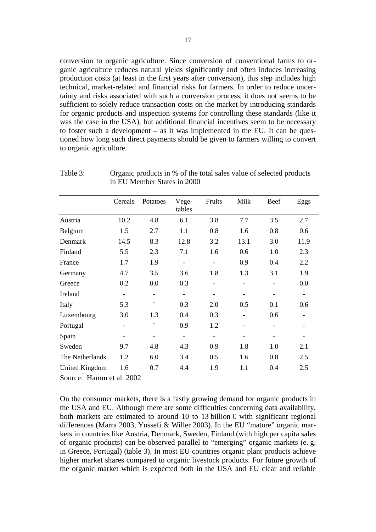conversion to organic agriculture. Since conversion of conventional farms to organic agriculture reduces natural yields significantly and often induces increasing production costs (at least in the first years after conversion), this step includes high technical, market-related and financial risks for farmers. In order to reduce uncertainty and risks associated with such a conversion process, it does not seems to be sufficient to solely reduce transaction costs on the market by introducing standards for organic products and inspection systems for controlling these standards (like it was the case in the USA), but additional financial incentives seem to be necessary to foster such a development – as it was implemented in the EU. It can be questioned how long such direct payments should be given to farmers willing to convert to organic agriculture.

|                 | Cereals                  | Potatoes                     | Vege-<br>tables          | Fruits | Milk                     | Beef | Eggs              |
|-----------------|--------------------------|------------------------------|--------------------------|--------|--------------------------|------|-------------------|
| Austria         | 10.2                     | 4.8                          | 6.1                      | 3.8    | 7.7                      | 3.5  | 2.7               |
| Belgium         | 1.5                      | 2.7                          | 1.1                      | 0.8    | 1.6                      | 0.8  | 0.6               |
| Denmark         | 14.5                     | 8.3                          | 12.8                     | 3.2    | 13.1                     | 3.0  | 11.9              |
| Finland         | 5.5                      | 2.3                          | 7.1                      | 1.6    | 0.6                      | 1.0  | 2.3               |
| France          | 1.7                      | 1.9                          | $\overline{\phantom{a}}$ |        | 0.9                      | 0.4  | 2.2               |
| Germany         | 4.7                      | 3.5                          | 3.6                      | 1.8    | 1.3                      | 3.1  | 1.9               |
| Greece          | 0.2                      | 0.0                          | 0.3                      |        | $\qquad \qquad -$        |      | 0.0               |
| Ireland         | $\overline{\phantom{a}}$ | $\overline{a}$               | $\overline{\phantom{a}}$ | -      | $\overline{\phantom{a}}$ |      | $\qquad \qquad -$ |
| Italy           | 5.3                      |                              | 0.3                      | 2.0    | 0.5                      | 0.1  | 0.6               |
| Luxembourg      | 3.0                      | 1.3                          | 0.4                      | 0.3    |                          | 0.6  |                   |
| Portugal        |                          |                              | 0.9                      | 1.2    |                          |      |                   |
| Spain           |                          | $\qquad \qquad \blacksquare$ | $\overline{\phantom{a}}$ |        | $\qquad \qquad -$        |      |                   |
| Sweden          | 9.7                      | 4.8                          | 4.3                      | 0.9    | 1.8                      | 1.0  | 2.1               |
| The Netherlands | 1.2                      | 6.0                          | 3.4                      | 0.5    | 1.6                      | 0.8  | 2.5               |
| United Kingdom  | 1.6                      | 0.7                          | 4.4                      | 1.9    | 1.1                      | 0.4  | 2.5               |

Table 3: Organic products in % of the total sales value of selected products in EU Member States in 2000

Source: Hamm et al. 2002

On the consumer markets, there is a fastly growing demand for organic products in the USA and EU. Although there are some difficulties concerning data availability, both markets are estimated to around 10 to 13 billion  $\epsilon$  with significant regional differences (Marra 2003, Yussefi & Willer 2003). In the EU "mature" organic markets in countries like Austria, Denmark, Sweden, Finland (with high per capita sales of organic products) can be observed parallel to "emerging" organic markets (e. g. in Greece, Portugal) (table 3). In most EU countries organic plant products achieve higher market shares compared to organic livestock products. For future growth of the organic market which is expected both in the USA and EU clear and reliable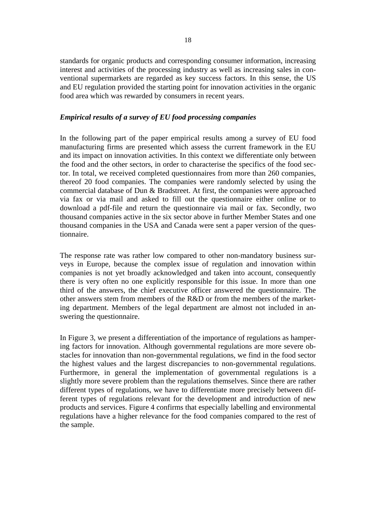standards for organic products and corresponding consumer information, increasing interest and activities of the processing industry as well as increasing sales in conventional supermarkets are regarded as key success factors. In this sense, the US and EU regulation provided the starting point for innovation activities in the organic food area which was rewarded by consumers in recent years.

#### *Empirical results of a survey of EU food processing companies*

In the following part of the paper empirical results among a survey of EU food manufacturing firms are presented which assess the current framework in the EU and its impact on innovation activities. In this context we differentiate only between the food and the other sectors, in order to characterise the specifics of the food sector. In total, we received completed questionnaires from more than 260 companies, thereof 20 food companies. The companies were randomly selected by using the commercial database of Dun & Bradstreet. At first, the companies were approached via fax or via mail and asked to fill out the questionnaire either online or to download a pdf-file and return the questionnaire via mail or fax. Secondly, two thousand companies active in the six sector above in further Member States and one thousand companies in the USA and Canada were sent a paper version of the questionnaire.

The response rate was rather low compared to other non-mandatory business surveys in Europe, because the complex issue of regulation and innovation within companies is not yet broadly acknowledged and taken into account, consequently there is very often no one explicitly responsible for this issue. In more than one third of the answers, the chief executive officer answered the questionnaire. The other answers stem from members of the R&D or from the members of the marketing department. Members of the legal department are almost not included in answering the questionnaire.

In Figure 3, we present a differentiation of the importance of regulations as hampering factors for innovation. Although governmental regulations are more severe obstacles for innovation than non-governmental regulations, we find in the food sector the highest values and the largest discrepancies to non-governmental regulations. Furthermore, in general the implementation of governmental regulations is a slightly more severe problem than the regulations themselves. Since there are rather different types of regulations, we have to differentiate more precisely between different types of regulations relevant for the development and introduction of new products and services. Figure 4 confirms that especially labelling and environmental regulations have a higher relevance for the food companies compared to the rest of the sample.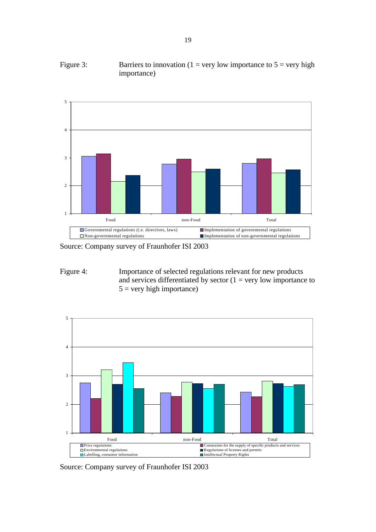



Source: Company survey of Fraunhofer ISI 2003

Figure 4: Importance of selected regulations relevant for new products and services differentiated by sector  $(1 = \text{very low importance to})$  $5 = \text{very high importance}$ )



Source: Company survey of Fraunhofer ISI 2003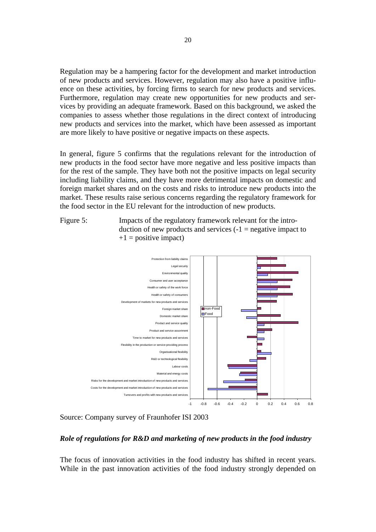Regulation may be a hampering factor for the development and market introduction of new products and services. However, regulation may also have a positive influence on these activities, by forcing firms to search for new products and services. Furthermore, regulation may create new opportunities for new products and services by providing an adequate framework. Based on this background, we asked the companies to assess whether those regulations in the direct context of introducing new products and services into the market, which have been assessed as important are more likely to have positive or negative impacts on these aspects.

In general, figure 5 confirms that the regulations relevant for the introduction of new products in the food sector have more negative and less positive impacts than for the rest of the sample. They have both not the positive impacts on legal security including liability claims, and they have more detrimental impacts on domestic and foreign market shares and on the costs and risks to introduce new products into the market. These results raise serious concerns regarding the regulatory framework for the food sector in the EU relevant for the introduction of new products.

Figure 5: Impacts of the regulatory framework relevant for the introduction of new products and services  $(-1)$  = negative impact to  $+1$  = positive impact)



Source: Company survey of Fraunhofer ISI 2003

### *Role of regulations for R&D and marketing of new products in the food industry*

The focus of innovation activities in the food industry has shifted in recent years. While in the past innovation activities of the food industry strongly depended on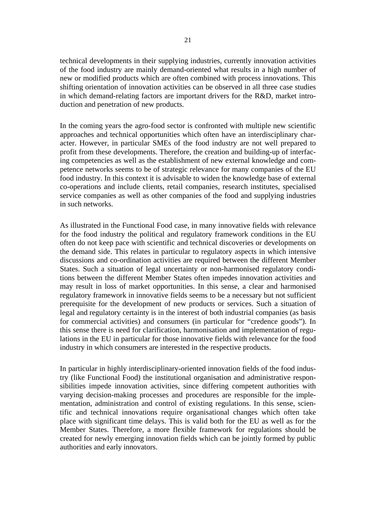technical developments in their supplying industries, currently innovation activities of the food industry are mainly demand-oriented what results in a high number of new or modified products which are often combined with process innovations. This shifting orientation of innovation activities can be observed in all three case studies in which demand-relating factors are important drivers for the R&D, market introduction and penetration of new products.

In the coming years the agro-food sector is confronted with multiple new scientific approaches and technical opportunities which often have an interdisciplinary character. However, in particular SMEs of the food industry are not well prepared to profit from these developments. Therefore, the creation and building-up of interfacing competencies as well as the establishment of new external knowledge and competence networks seems to be of strategic relevance for many companies of the EU food industry. In this context it is advisable to widen the knowledge base of external co-operations and include clients, retail companies, research institutes, specialised service companies as well as other companies of the food and supplying industries in such networks.

As illustrated in the Functional Food case, in many innovative fields with relevance for the food industry the political and regulatory framework conditions in the EU often do not keep pace with scientific and technical discoveries or developments on the demand side. This relates in particular to regulatory aspects in which intensive discussions and co-ordination activities are required between the different Member States. Such a situation of legal uncertainty or non-harmonised regulatory conditions between the different Member States often impedes innovation activities and may result in loss of market opportunities. In this sense, a clear and harmonised regulatory framework in innovative fields seems to be a necessary but not sufficient prerequisite for the development of new products or services. Such a situation of legal and regulatory certainty is in the interest of both industrial companies (as basis for commercial activities) and consumers (in particular for "credence goods"). In this sense there is need for clarification, harmonisation and implementation of regulations in the EU in particular for those innovative fields with relevance for the food industry in which consumers are interested in the respective products.

In particular in highly interdisciplinary-oriented innovation fields of the food industry (like Functional Food) the institutional organisation and administrative responsibilities impede innovation activities, since differing competent authorities with varying decision-making processes and procedures are responsible for the implementation, administration and control of existing regulations. In this sense, scientific and technical innovations require organisational changes which often take place with significant time delays. This is valid both for the EU as well as for the Member States. Therefore, a more flexible framework for regulations should be created for newly emerging innovation fields which can be jointly formed by public authorities and early innovators.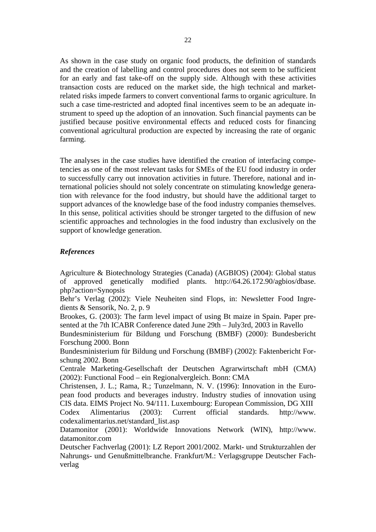As shown in the case study on organic food products, the definition of standards and the creation of labelling and control procedures does not seem to be sufficient for an early and fast take-off on the supply side. Although with these activities transaction costs are reduced on the market side, the high technical and marketrelated risks impede farmers to convert conventional farms to organic agriculture. In such a case time-restricted and adopted final incentives seem to be an adequate instrument to speed up the adoption of an innovation. Such financial payments can be justified because positive environmental effects and reduced costs for financing conventional agricultural production are expected by increasing the rate of organic farming.

The analyses in the case studies have identified the creation of interfacing competencies as one of the most relevant tasks for SMEs of the EU food industry in order to successfully carry out innovation activities in future. Therefore, national and international policies should not solely concentrate on stimulating knowledge generation with relevance for the food industry, but should have the additional target to support advances of the knowledge base of the food industry companies themselves. In this sense, political activities should be stronger targeted to the diffusion of new scientific approaches and technologies in the food industry than exclusively on the support of knowledge generation.

### *References*

Agriculture & Biotechnology Strategies (Canada) (AGBIOS) (2004): Global status of approved genetically modified plants. http://64.26.172.90/agbios/dbase. php?action=Synopsis

Behr's Verlag (2002): Viele Neuheiten sind Flops, in: Newsletter Food Ingredients & Sensorik, No. 2, p. 9

Brookes, G. (2003): The farm level impact of using Bt maize in Spain. Paper presented at the 7th ICABR Conference dated June 29th – July3rd, 2003 in Ravello

Bundesministerium für Bildung und Forschung (BMBF) (2000): Bundesbericht Forschung 2000. Bonn

Bundesministerium für Bildung und Forschung (BMBF) (2002): Faktenbericht Forschung 2002. Bonn

Centrale Marketing-Gesellschaft der Deutschen Agrarwirtschaft mbH (CMA) (2002): Functional Food – ein Regionalvergleich. Bonn: CMA

Christensen, J. L.; Rama, R.; Tunzelmann, N. V. (1996): Innovation in the European food products and beverages industry. Industry studies of innovation using CIS data. EIMS Project No. 94/111. Luxembourg: European Commission, DG XIII

Codex Alimentarius (2003): Current official standards. http://www. codexalimentarius.net/standard\_list.asp

Datamonitor (2001): Worldwide Innovations Network (WIN), http://www. datamonitor.com

Deutscher Fachverlag (2001): LZ Report 2001/2002. Markt- und Strukturzahlen der Nahrungs- und Genußmittelbranche. Frankfurt/M.: Verlagsgruppe Deutscher Fachverlag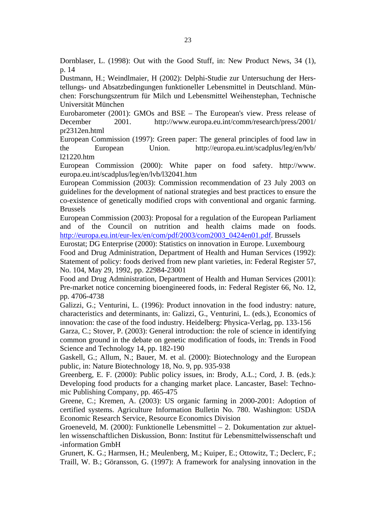Dornblaser, L. (1998): Out with the Good Stuff, in: New Product News, 34 (1), p. 14

Dustmann, H.; Weindlmaier, H (2002): Delphi-Studie zur Untersuchung der Herstellungs- und Absatzbedingungen funktioneller Lebensmittel in Deutschland. München: Forschungszentrum für Milch und Lebensmittel Weihenstephan, Technische Universität München

Eurobarometer (2001): GMOs and BSE – The European's view. Press release of December 2001. http://www.europa.eu.int/comm/research/press/2001/ pr2312en.html

European Commission (1997): Green paper: The general principles of food law in the European Union. http://europa.eu.int/scadplus/leg/en/lvb/ l21220.htm

European Commission (2000): White paper on food safety. http://www. europa.eu.int/scadplus/leg/en/lvb/l32041.htm

European Commission (2003): Commission recommendation of 23 July 2003 on guidelines for the development of national strategies and best practices to ensure the co-existence of genetically modified crops with conventional and organic farming. Brussels

European Commission (2003): Proposal for a regulation of the European Parliament and of the Council on nutrition and health claims made on foods. http://europa.eu.int/eur-lex/en/com/pdf/2003/com2003\_0424en01.pdf. Brussels

Eurostat; DG Enterprise (2000): Statistics on innovation in Europe. Luxembourg

Food and Drug Administration, Department of Health and Human Services (1992): Statement of policy: foods derived from new plant varieties, in: Federal Register 57, No. 104, May 29, 1992, pp. 22984-23001

Food and Drug Administration, Department of Health and Human Services (2001): Pre-market notice concerning bioengineered foods, in: Federal Register 66, No. 12, pp. 4706-4738

Galizzi, G.; Venturini, L. (1996): Product innovation in the food industry: nature, characteristics and determinants, in: Galizzi, G., Venturini, L. (eds.), Economics of innovation: the case of the food industry. Heidelberg: Physica-Verlag, pp. 133-156

Garza, C.; Stover, P. (2003): General introduction: the role of science in identifying common ground in the debate on genetic modification of foods, in: Trends in Food Science and Technology 14, pp. 182-190

Gaskell, G.; Allum, N.; Bauer, M. et al. (2000): Biotechnology and the European public, in: Nature Biotechnology 18, No. 9, pp. 935-938

Greenberg, E. F. (2000): Public policy issues, in: Brody, A.L.; Cord, J. B. (eds.): Developing food products for a changing market place. Lancaster, Basel: Technomic Publishing Company, pp. 465-475

Greene, C.; Kremen, A. (2003): US organic farming in 2000-2001: Adoption of certified systems. Agriculture Information Bulletin No. 780. Washington: USDA Economic Research Service, Resource Economics Division

Groeneveld, M. (2000): Funktionelle Lebensmittel – 2. Dokumentation zur aktuellen wissenschaftlichen Diskussion, Bonn: Institut für Lebensmittelwissenschaft und -information GmbH

Grunert, K. G.; Harmsen, H.; Meulenberg, M.; Kuiper, E.; Ottowitz, T.; Declerc, F.; Traill, W. B.; Göransson, G. (1997): A framework for analysing innovation in the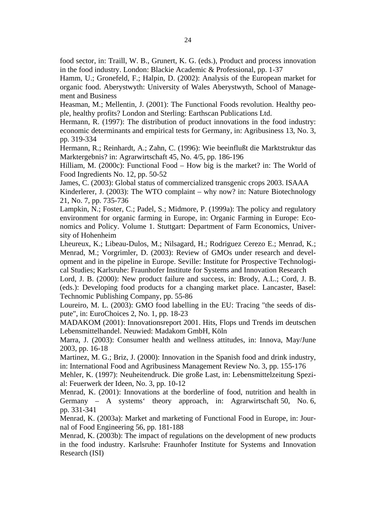food sector, in: Traill, W. B., Grunert, K. G. (eds.), Product and process innovation in the food industry. London: Blackie Academic & Professional, pp. 1-37

Hamm, U.; Gronefeld, F.; Halpin, D. (2002): Analysis of the European market for organic food. Aberystwyth: University of Wales Aberystwyth, School of Management and Business

Heasman, M.; Mellentin, J. (2001): The Functional Foods revolution. Healthy people, healthy profits? London and Sterling: Earthscan Publications Ltd.

Hermann, R. (1997): The distribution of product innovations in the food industry: economic determinants and empirical tests for Germany, in: Agribusiness 13, No. 3, pp. 319-334

Hermann, R.; Reinhardt, A.; Zahn, C. (1996): Wie beeinflußt die Marktstruktur das Marktergebnis? in: Agrarwirtschaft 45, No. 4/5, pp. 186-196

Hilliam, M. (2000c): Functional Food – How big is the market? in: The World of Food Ingredients No. 12, pp. 50-52

James, C. (2003): Global status of commercialized transgenic crops 2003. ISAAA Kinderlerer, J. (2003): The WTO complaint – why now? in: Nature Biotechnology 21, No. 7, pp. 735-736

Lampkin, N.; Foster, C.; Padel, S.; Midmore, P. (1999a): The policy and regulatory environment for organic farming in Europe, in: Organic Farming in Europe: Economics and Policy. Volume 1. Stuttgart: Department of Farm Economics, University of Hohenheim

Lheureux, K.; Libeau-Dulos, M.; Nilsagard, H.; Rodriguez Cerezo E.; Menrad, K.; Menrad, M.; Vorgrimler, D. (2003): Review of GMOs under research and development and in the pipeline in Europe. Seville: Institute for Prospective Technological Studies; Karlsruhe: Fraunhofer Institute for Systems and Innovation Research

Lord, J. B. (2000): New product failure and success, in: Brody, A.L.; Cord, J. B. (eds.): Developing food products for a changing market place. Lancaster, Basel: Technomic Publishing Company, pp. 55-86

Loureiro, M. L. (2003): GMO food labelling in the EU: Tracing "the seeds of dispute", in: EuroChoices 2, No. 1, pp. 18-23

MADAKOM (2001): Innovationsreport 2001. Hits, Flops und Trends im deutschen Lebensmittelhandel. Neuwied: Madakom GmbH, Köln

Marra, J. (2003): Consumer health and wellness attitudes, in: Innova, May/June 2003, pp. 16-18

Martinez, M. G.; Briz, J. (2000): Innovation in the Spanish food and drink industry, in: International Food and Agribusiness Management Review No. 3, pp. 155-176

Mehler, K. (1997): Neuheitendruck. Die große Last, in: Lebensmittelzeitung Spezial: Feuerwerk der Ideen, No. 3, pp. 10-12

Menrad, K. (2001): Innovations at the borderline of food, nutrition and health in Germany – A systems' theory approach, in: Agrarwirtschaft 50, No. 6, pp. 331-341

Menrad, K. (2003a): Market and marketing of Functional Food in Europe, in: Journal of Food Engineering 56, pp. 181-188

Menrad, K. (2003b): The impact of regulations on the development of new products in the food industry. Karlsruhe: Fraunhofer Institute for Systems and Innovation Research (ISI)